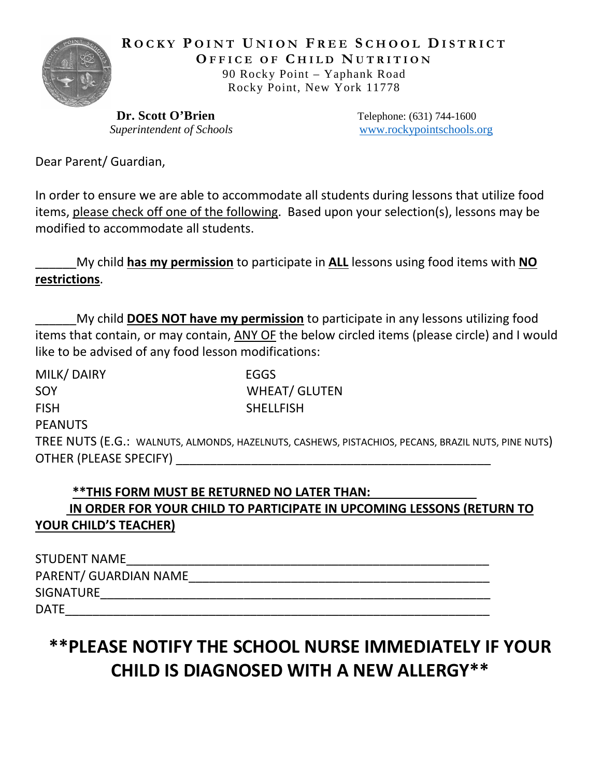

**R OCKY P OINT U NION F REE S CHOOL D ISTRICT O FFICE OF C HILD N UTRITION**  90 Rocky Point – Yaphank Road Rocky Point, New York 11778

**Dr. Scott O'Brien** Telephone: (631) 744-1600 *Superintendent of Schools* [www.rockypointschools.org](http://www.rockypointschools.org/)

Dear Parent/ Guardian,

In order to ensure we are able to accommodate all students during lessons that utilize food items, please check off one of the following. Based upon your selection(s), lessons may be modified to accommodate all students.

\_\_\_\_\_\_My child **has my permission** to participate in **ALL** lessons using food items with **NO restrictions**.

\_\_\_\_\_\_My child **DOES NOT have my permission** to participate in any lessons utilizing food items that contain, or may contain, ANY OF the below circled items (please circle) and I would like to be advised of any food lesson modifications:

| MILK/DAIRY             | EGGS                                                                                               |
|------------------------|----------------------------------------------------------------------------------------------------|
| SOY                    | <b>WHEAT/ GLUTEN</b>                                                                               |
| <b>FISH</b>            | <b>SHELLFISH</b>                                                                                   |
| <b>PEANUTS</b>         |                                                                                                    |
|                        | TREE NUTS (E.G.: WALNUTS, ALMONDS, HAZELNUTS, CASHEWS, PISTACHIOS, PECANS, BRAZIL NUTS, PINE NUTS) |
| OTHER (PLEASE SPECIFY) |                                                                                                    |

## \*\*THIS FORM MUST BE RETURNED NO LATER THAN:  **IN ORDER FOR YOUR CHILD TO PARTICIPATE IN UPCOMING LESSONS (RETURN TO YOUR CHILD'S TEACHER)**

| STUDENT NAME          |  |
|-----------------------|--|
| PARENT/ GUARDIAN NAME |  |
| SIGNATURE             |  |
| DATE                  |  |

## **\*\*PLEASE NOTIFY THE SCHOOL NURSE IMMEDIATELY IF YOUR CHILD IS DIAGNOSED WITH A NEW ALLERGY\*\***